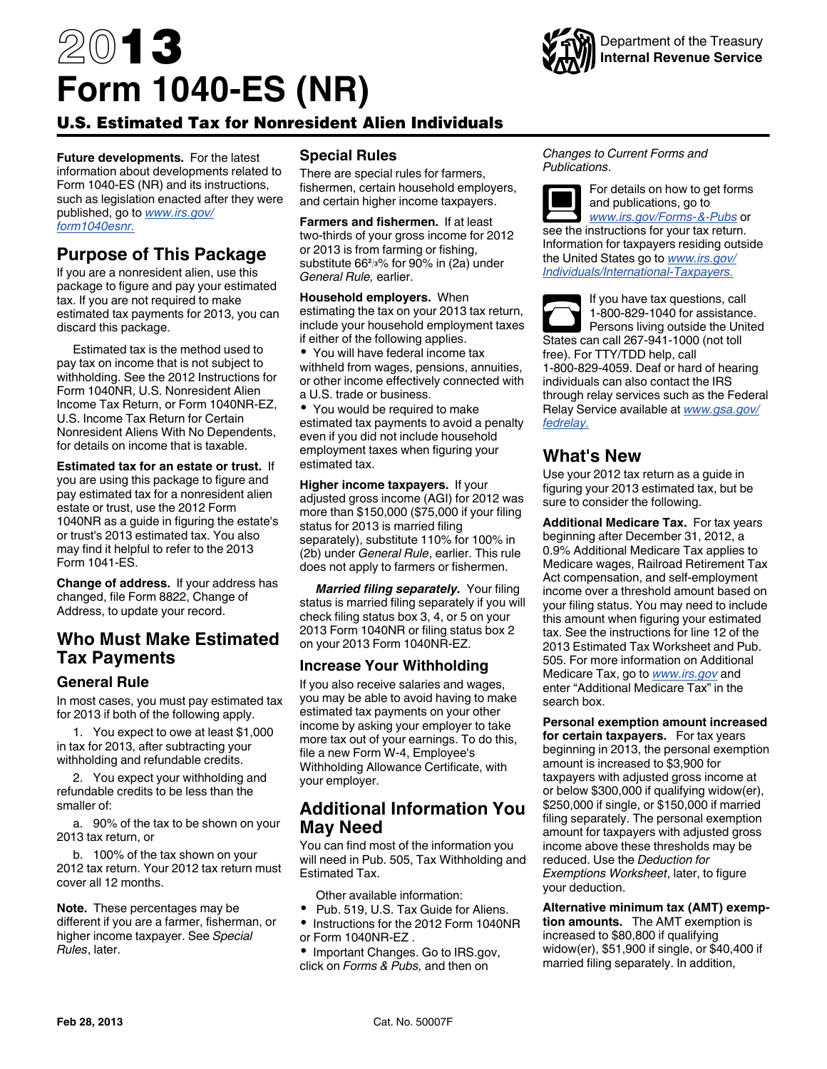# 2013 **Form 1040-ES (NR)**



**Future developments.** For the latest information about developments related to Form 1040-ES (NR) and its instructions, such as legislation enacted after they were published, go to *[www.irs.gov/](http://www.irs.gov/form1040esnr) [form1040esnr.](http://www.irs.gov/form1040esnr)*

## **Purpose of This Package**

If you are a nonresident alien, use this package to figure and pay your estimated tax. If you are not required to make estimated tax payments for 2013, you can discard this package.

Estimated tax is the method used to pay tax on income that is not subject to withholding. See the 2012 Instructions for Form 1040NR, U.S. Nonresident Alien Income Tax Return, or Form 1040NR-EZ, U.S. Income Tax Return for Certain Nonresident Aliens With No Dependents, for details on income that is taxable.

**Estimated tax for an estate or trust.** If you are using this package to figure and pay estimated tax for a nonresident alien estate or trust, use the 2012 Form 1040NR as a guide in figuring the estate's or trust's 2013 estimated tax. You also may find it helpful to refer to the 2013 Form 1041-ES.

**Change of address.** If your address has changed, file Form 8822, Change of Address, to update your record.

#### **Who Must Make Estimated Tax Payments**

#### **General Rule**

In most cases, you must pay estimated tax for 2013 if both of the following apply.

1. You expect to owe at least \$1,000 in tax for 2013, after subtracting your withholding and refundable credits.

2. You expect your withholding and refundable credits to be less than the smaller of:

a. 90% of the tax to be shown on your 2013 tax return, or

b. 100% of the tax shown on your 2012 tax return. Your 2012 tax return must cover all 12 months.

**Note.** These percentages may be different if you are a farmer, fisherman, or higher income taxpayer. See *Special Rules*, later.

#### **Special Rules**

There are special rules for farmers, fishermen, certain household employers, and certain higher income taxpayers.

**Farmers and fishermen.** If at least two-thirds of your gross income for 2012 or 2013 is from farming or fishing, **<sup>3</sup>**% for 90% in (2a) under *General Rule,* earlier.

**Household employers.** When estimating the tax on your 2013 tax return, include your household employment taxes if either of the following applies.

• You will have federal income tax withheld from wages, pensions, annuities, or other income effectively connected with a U.S. trade or business.

You would be required to make estimated tax payments to avoid a penalty even if you did not include household employment taxes when figuring your estimated tax.

**Higher income taxpayers.** If your adjusted gross income (AGI) for 2012 was more than \$150,000 (\$75,000 if your filing status for 2013 is married filing separately), substitute 110% for 100% in (2b) under *General Rule*, earlier. This rule does not apply to farmers or fishermen.

*Married filing separately.* Your filing status is married filing separately if you will check filing status box 3, 4, or 5 on your 2013 Form 1040NR or filing status box 2 on your 2013 Form 1040NR-EZ.

#### **Increase Your Withholding**

If you also receive salaries and wages, you may be able to avoid having to make estimated tax payments on your other income by asking your employer to take more tax out of your earnings. To do this, file a new Form W-4, Employee's Withholding Allowance Certificate, with your employer.

#### **Additional Information You May Need**

You can find most of the information you will need in Pub. 505, Tax Withholding and Estimated Tax.

Other available information:

 Pub. 519, U.S. Tax Guide for Aliens.  $\bullet$ Instructions for the 2012 Form 1040NR

or Form 1040NR-EZ . • Important Changes. Go to IRS.gov, click on *Forms & Pubs,* and then on

*Changes to Current Forms and Publications*.

substitute  $66<sup>2</sup>1<sup>3</sup>$ % for 90% in (2a) under the United States go to  $\frac{WW \cdot \text{ns}}{WW \cdot \text{ns}}$ For details on how to get forms and publications, go to *[www.irs.gov/Forms-&-Pubs](http://www.irs.gov/Forms-&-Pubs)* or see the instructions for your tax return. Information for taxpayers residing outside the United States go to *[www.irs.gov/](http://www.irs.gov/Individuals/International-Taxpayers) [Individuals/International-Taxpayers.](http://www.irs.gov/Individuals/International-Taxpayers)*

> If you have tax questions, call 1-800-829-1040 for assistance. Persons living outside the United States can call 267-941-1000 (not toll free). For TTY/TDD help, call 1-800-829-4059. Deaf or hard of hearing individuals can also contact the IRS through relay services such as the Federal Relay Service available at *[www.gsa.gov/](http://www.gsa.gov/fedrelay) [fedrelay.](http://www.gsa.gov/fedrelay)*

## **What's New**

Use your 2012 tax return as a guide in figuring your 2013 estimated tax, but be sure to consider the following.

**Additional Medicare Tax.** For tax years beginning after December 31, 2012, a 0.9% Additional Medicare Tax applies to Medicare wages, Railroad Retirement Tax Act compensation, and self-employment income over a threshold amount based on your filing status. You may need to include this amount when figuring your estimated tax. See the instructions for line 12 of the 2013 Estimated Tax Worksheet and Pub. 505. For more information on Additional Medicare Tax, go to *[www.irs.gov](http://www.irs.gov)* and enter "Additional Medicare Tax" in the search box.

**Personal exemption amount increased for certain taxpayers.** For tax years beginning in 2013, the personal exemption amount is increased to \$3,900 for taxpayers with adjusted gross income at or below \$300,000 if qualifying widow(er), \$250,000 if single, or \$150,000 if married filing separately. The personal exemption amount for taxpayers with adjusted gross income above these thresholds may be reduced. Use the *Deduction for Exemptions Worksheet*, later, to figure your deduction.

**Alternative minimum tax (AMT) exemption amounts.** The AMT exemption is increased to \$80,800 if qualifying widow(er), \$51,900 if single, or \$40,400 if married filing separately. In addition,

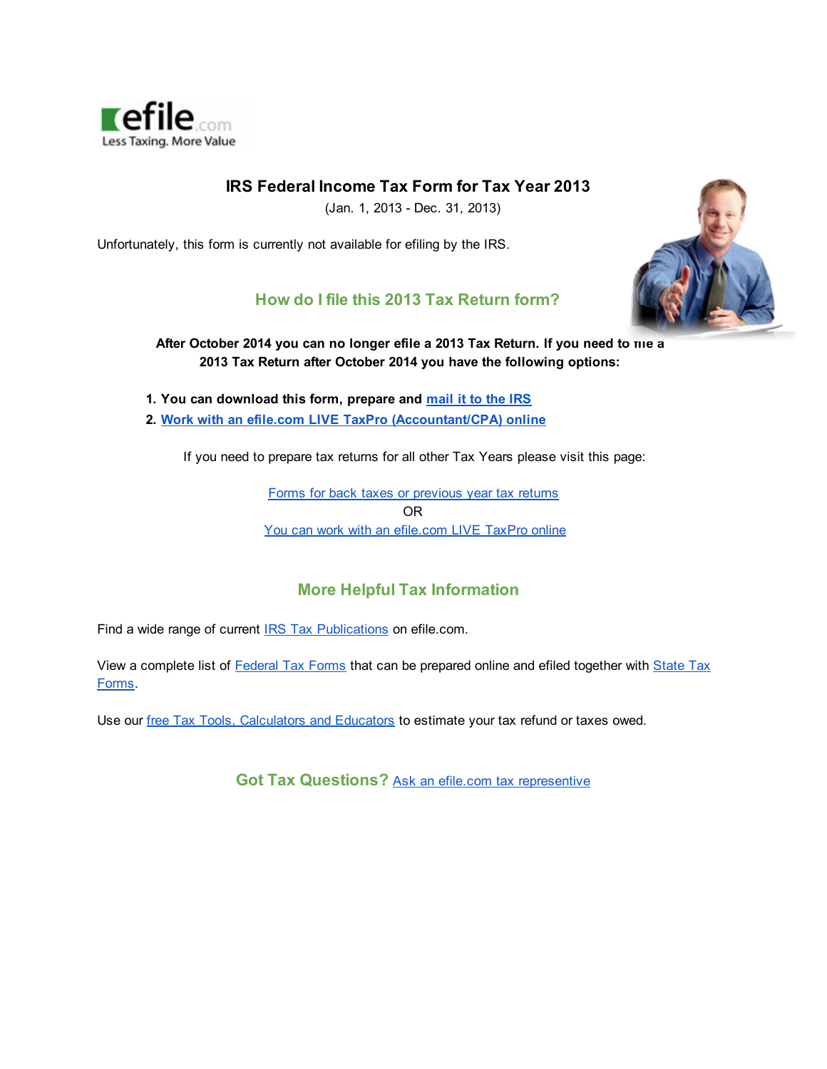

## **IRS Federal Income Tax Form for Tax Year 2013**

(Jan. 1, 2013 - Dec. 31, 2013)

Unfortunately, this form is currently not available for efiling by the IRS.

## **How do I file this 2013 Tax Return form?**

#### **After October 2014 you can no longer efile a 2013 Tax [Return.](http://www.google.com/url?q=http%3A%2F%2Fwww.efile.com%2Fwhere-to-mail-tax-return-form-irs-mailing-address-for-refund%2F&sa=D&sntz=1&usg=AFQjCNGVeFZ9_a-DUQLfnvbUkEwTnQF6nQ) If you need to file a 2013 Tax Return after October 2014 you have the following options:**

**1. You can [download](http://www.google.com/url?q=http%3A%2F%2Fwww.efile.com%2Fwhere-to-mail-tax-return-form-irs-mailing-address-for-refund%2F&sa=D&sntz=1&usg=AFQjCNGVeFZ9_a-DUQLfnvbUkEwTnQF6nQ) this form, prepare and [mail](http://www.google.com/url?q=http%3A%2F%2Fwww.efile.com%2Fwhere-to-mail-tax-return-form-irs-mailing-address-for-refund%2F&sa=D&sntz=1&usg=AFQjCNGVeFZ9_a-DUQLfnvbUkEwTnQF6nQ) it to the IRS**

**2. Work with an efile.com LIVE TaxPro [\(Accountant/CPA\)](http://www.google.com/url?q=http%3A%2F%2Fwww.efile.com%2Ftax-preparer%2Fstart-working-with-a-tax-pro%2F&sa=D&sntz=1&usg=AFQjCNF6kk1hYx8ZcZmEUuqzQA3I8DNRvw) online**

If you need to prepare tax returns for all other Tax Years please visit this page:

Forms for back taxes or [previous](http://www.google.com/url?q=http%3A%2F%2Fwww.efile.com%2Ffederal-income-tax-return-forms-prior-past-previous-irs-years%2F&sa=D&sntz=1&usg=AFQjCNGkwRZuw4htdce33XxCbysj9teXaA) year tax returns OR You can work with an [efile.com](http://www.google.com/url?q=http%3A%2F%2Fwww.efile.com%2Ftax-preparer%2Fstart-working-with-a-tax-pro%2F&sa=D&sntz=1&usg=AFQjCNF6kk1hYx8ZcZmEUuqzQA3I8DNRvw) LIVE TaxPro online

## **More Helpful Tax Information**

Find a wide range of current **[I](http://www.google.com/url?q=http%3A%2F%2Fwww.efile.com%2Firs-publication%2Firs-publications%2F&sa=D&sntz=1&usg=AFQjCNFhxTPrw59W3uYdiESEE7s6iKIQHQ)RS Tax [Publications](http://www.google.com/url?q=http%3A%2F%2Fwww.efile.com%2Firs-publication%2Firs-publications%2F&sa=D&sntz=1&usg=AFQjCNFhxTPrw59W3uYdiESEE7s6iKIQHQ)** on efile.com.

View a complete list of [Federal](http://www.google.com/url?q=http%3A%2F%2Fwww.efile.com%2Fefile%2Ffile-taxes-online%2F&sa=D&sntz=1&usg=AFQjCNE2WaP5Q5hD4ZJ4OcHwLoAOSqH-Pg) Tax Forms that can be prepared online and efiled together with [State](http://www.google.com/url?q=http%3A%2F%2Fwww.efile.com%2Fstate-tax%2Fstate-income-tax%2F&sa=D&sntz=1&usg=AFQjCNFz76g0WBvqbPhrHHFraJQ6RpMorQ) Tax [Forms.](http://www.google.com/url?q=http%3A%2F%2Fwww.efile.com%2Fstate-tax%2Fstate-income-tax%2F&sa=D&sntz=1&usg=AFQjCNFz76g0WBvqbPhrHHFraJQ6RpMorQ)

Use our *free Tax Tools, [Calculators](http://www.google.com/url?q=http%3A%2F%2Fwww.efile.com%2Ftax-estimate-calculation-free-help-advice-app-tools%2F&sa=D&sntz=1&usg=AFQjCNEm2w76lcibtCXddhoEswfbMW4SyA) and Educators* to estimate your tax refund or taxes owed.

**Got Tax Questions?** Ask an efile.com tax [representive](https://www.google.com/url?q=https%3A%2F%2Fwww.efile.com%2Ftax-service%2Fcontact%2Fefile-contact%2F&sa=D&sntz=1&usg=AFQjCNFTxgvL6sN3DEmUNTkho6iW5Hslmg)

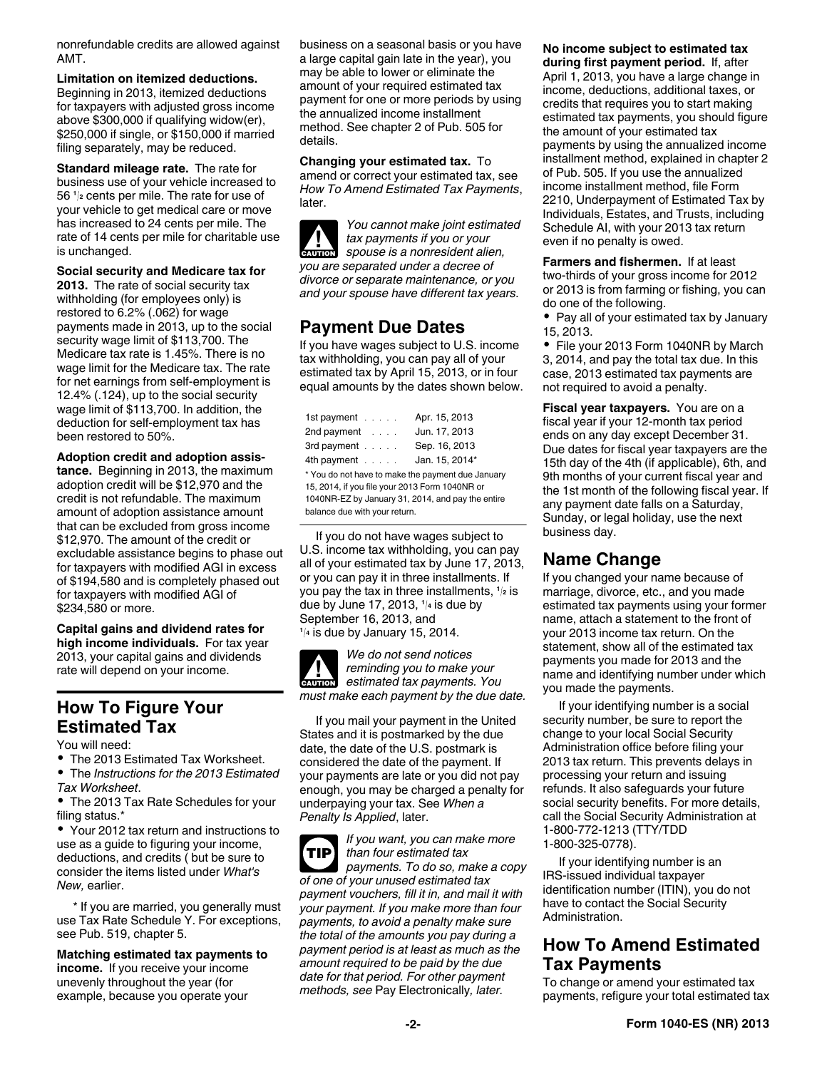nonrefundable credits are allowed against AMT.

**Limitation on itemized deductions.** 

Beginning in 2013, itemized deductions for taxpayers with adjusted gross income above \$300,000 if qualifying widow(er), \$250,000 if single, or \$150,000 if married filing separately, may be reduced.

**Standard mileage rate.** The rate for business use of your vehicle increased to **<sup>2</sup>** cents per mile. The rate for use of your vehicle to get medical care or move has increased to 24 cents per mile. The rate of 14 cents per mile for charitable use is unchanged.

#### **Social security and Medicare tax for**

**2013.** The rate of social security tax withholding (for employees only) is restored to 6.2% (.062) for wage payments made in 2013, up to the social security wage limit of \$113,700. The Medicare tax rate is 1.45%. There is no wage limit for the Medicare tax. The rate for net earnings from self-employment is 12.4% (.124), up to the social security wage limit of \$113,700. In addition, the deduction for self-employment tax has been restored to 50%.

#### **Adoption credit and adoption assis-**

**tance.** Beginning in 2013, the maximum adoption credit will be \$12,970 and the credit is not refundable. The maximum amount of adoption assistance amount that can be excluded from gross income \$12,970. The amount of the credit or excludable assistance begins to phase out for taxpayers with modified AGI in excess of \$194,580 and is completely phased out for taxpayers with modified AGI of \$234,580 or more.

**Capital gains and dividend rates for high income individuals.** For tax year 2013, your capital gains and dividends rate will depend on your income.

## **How To Figure Your Estimated Tax**

You will need:

The 2013 Estimated Tax Worksheet.

The *Instructions for the 2013 Estimated Tax Worksheet*.

The 2013 Tax Rate Schedules for your filing status.\*

Your 2012 tax return and instructions to use as a guide to figuring your income, deductions, and credits ( but be sure to consider the items listed under *What's New,* earlier.

\* If you are married, you generally must use Tax Rate Schedule Y. For exceptions, see Pub. 519, chapter 5.

**Matching estimated tax payments to income.** If you receive your income unevenly throughout the year (for example, because you operate your

business on a seasonal basis or you have a large capital gain late in the year), you may be able to lower or eliminate the amount of your required estimated tax payment for one or more periods by using the annualized income installment method. See chapter 2 of Pub. 505 for details.

**Changing your estimated tax.** To amend or correct your estimated tax, see *How To Amend Estimated Tax Payments*, later.

*You cannot make joint estimated tax payments if you or your*   $\sum_{\text{cavnor}}$  tax payments if you or your<br>spouse is a nonresident alien, *you are separated under a decree of divorce or separate maintenance, or you and your spouse have different tax years.*

## **Payment Due Dates**

If you have wages subject to U.S. income tax withholding, you can pay all of your estimated tax by April 15, 2013, or in four equal amounts by the dates shown below.

| 1st payment $\ldots$ .                            | Apr. 15, 2013  |
|---------------------------------------------------|----------------|
| 2nd payment $\ldots$                              | Jun. 17, 2013  |
| 3rd payment                                       | Sep. 16, 2013  |
| 4th payment                                       | Jan. 15, 2014* |
| * You do not have to make the payment due January |                |
| 15, 2014, if you file your 2013 Form 1040NR or    |                |
| 1040NR-EZ by January 31, 2014, and pay the entire |                |
| balance due with your return.                     |                |

If you do not have wages subject to U.S. income tax withholding, you can pay all of your estimated tax by June 17, 2013, or you can pay it in three installments. If you pay the tax in three installments,  $1/2$  is due by June 17, 2013,  $\frac{1}{4}$  is due by September 16, 2013, and **<sup>4</sup>** is due by January 15, 2014.

*We do not send notices reminding you to make your extrict continued tax payments. You**estimated tax payments. You must make each payment by the due date.*

If you mail your payment in the United States and it is postmarked by the due date, the date of the U.S. postmark is considered the date of the payment. If your payments are late or you did not pay enough, you may be charged a penalty for underpaying your tax. See *When a Penalty Is Applied*, later.

*If you want, you can make more than four estimated tax payments. To do so, make a copy of one of your unused estimated tax payment vouchers, fill it in, and mail it with your payment. If you make more than four payments, to avoid a penalty make sure the total of the amounts you pay during a payment period is at least as much as the amount required to be paid by the due date for that period. For other payment methods, see* Pay Electronically*, later.* **TIP**

## **No income subject to estimated tax**

<sup>1</sup>/2 cents per mile. The rate for use of the later and the matter rate of the contract of the contract of the later that the summated rate of the contract of Estimated Tax by **during first payment period.** If, after April 1, 2013, you have a large change in income, deductions, additional taxes, or credits that requires you to start making estimated tax payments, you should figure the amount of your estimated tax payments by using the annualized income installment method, explained in chapter 2 of Pub. 505. If you use the annualized income installment method, file Form 2210, Underpayment of Estimated Tax by Individuals, Estates, and Trusts, including Schedule AI, with your 2013 tax return even if no penalty is owed.

> **Farmers and fishermen.** If at least two-thirds of your gross income for 2012 or 2013 is from farming or fishing, you can do one of the following.

> • Pay all of your estimated tax by January 15, 2013.

• File your 2013 Form 1040NR by March 3, 2014, and pay the total tax due. In this case, 2013 estimated tax payments are not required to avoid a penalty.

**Fiscal year taxpayers.** You are on a fiscal year if your 12-month tax period ends on any day except December 31. Due dates for fiscal year taxpayers are the 15th day of the 4th (if applicable), 6th, and 9th months of your current fiscal year and the 1st month of the following fiscal year. If any payment date falls on a Saturday, Sunday, or legal holiday, use the next business day.

## **Name Change**

you pay the tax in three installments, **<sup>1</sup>** marriage, divorce, etc., and you made due by June 17, 2013, <sup>1</sup>/<sub>4</sub> is due by estimated tax payments using your former <sup>1</sup>/<sub>4</sub> is due by January 15, 2014. your 2013 income tax return. On the If you changed your name because of estimated tax payments using your former name, attach a statement to the front of statement, show all of the estimated tax payments you made for 2013 and the name and identifying number under which you made the payments.

> If your identifying number is a social security number, be sure to report the change to your local Social Security Administration office before filing your 2013 tax return. This prevents delays in processing your return and issuing refunds. It also safeguards your future social security benefits. For more details, call the Social Security Administration at 1-800-772-1213 (TTY/TDD 1-800-325-0778).

If your identifying number is an IRS-issued individual taxpayer identification number (ITIN), you do not have to contact the Social Security Administration.

## **How To Amend Estimated Tax Payments**

To change or amend your estimated tax payments, refigure your total estimated tax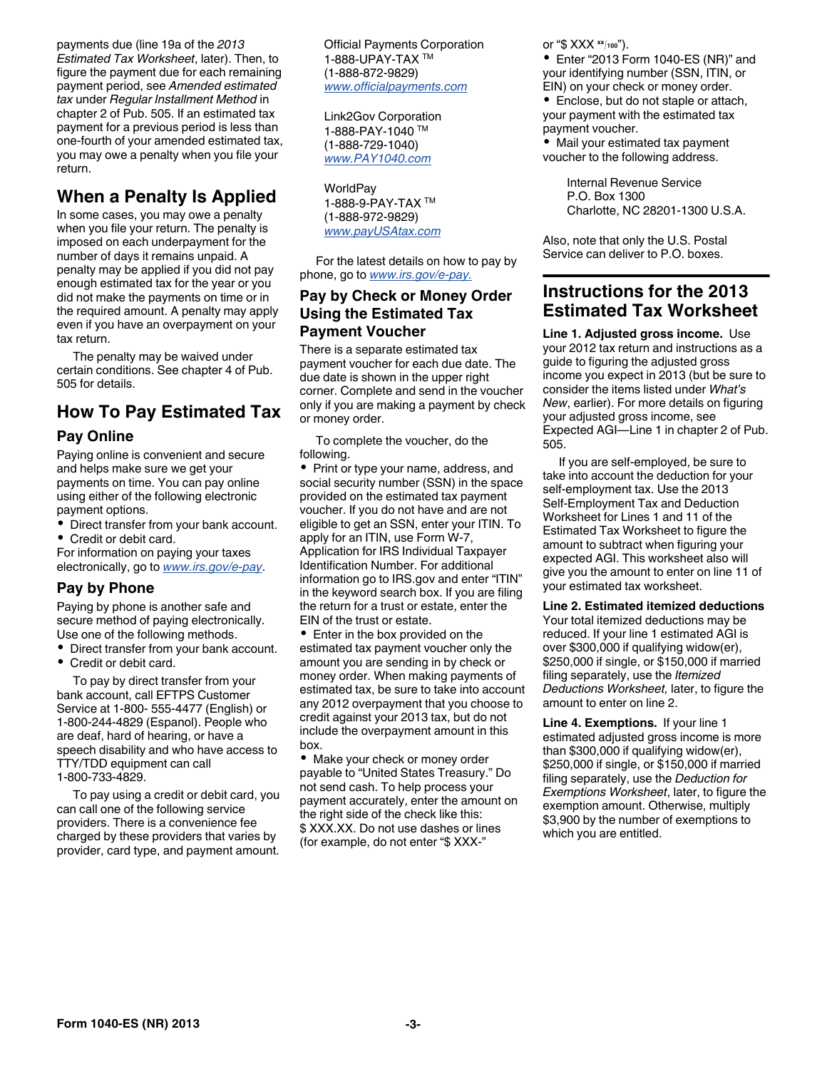payments due (line 19a of the *2013 Estimated Tax Worksheet*, later). Then, to figure the payment due for each remaining payment period, see *Amended estimated tax* under *Regular Installment Method* in chapter 2 of Pub. 505. If an estimated tax payment for a previous period is less than one-fourth of your amended estimated tax, you may owe a penalty when you file your return.

## **When a Penalty Is Applied**

In some cases, you may owe a penalty when you file your return. The penalty is imposed on each underpayment for the number of days it remains unpaid. A penalty may be applied if you did not pay enough estimated tax for the year or you did not make the payments on time or in the required amount. A penalty may apply even if you have an overpayment on your tax return.

The penalty may be waived under certain conditions. See chapter 4 of Pub. 505 for details.

## **How To Pay Estimated Tax**

#### **Pay Online**

Paying online is convenient and secure and helps make sure we get your payments on time. You can pay online using either of the following electronic payment options.

- Direct transfer from your bank account.
- Credit or debit card.

For information on paying your taxes electronically, go to *[www.irs.gov/e-pay](http://www.irs.gov/e-pay)*.

#### **Pay by Phone**

Paying by phone is another safe and secure method of paying electronically. Use one of the following methods.

- Direct transfer from your bank account.
- Credit or debit card.

To pay by direct transfer from your bank account, call EFTPS Customer Service at 1-800- 555-4477 (English) or 1-800-244-4829 (Espanol). People who are deaf, hard of hearing, or have a speech disability and who have access to TTY/TDD equipment can call 1-800-733-4829.

To pay using a credit or debit card, you can call one of the following service providers. There is a convenience fee charged by these providers that varies by provider, card type, and payment amount. Official Payments Corporation 1-888-UPAY-TAX TM (1-888-872-9829) *[www.officialpayments.com](http://www.officialpayments.com)*

Link2Gov Corporation 1-888-PAY-1040 TM (1-888-729-1040) *[www.PAY1040.com](http://www.PAY1040.com)*

**WorldPav** 1-888-9-PAY-TAX TM (1-888-972-9829) *[www.payUSAtax.com](http://www.payUSAtax.com)*

For the latest details on how to pay by phone, go to *[www.irs.gov/e-pay.](http://www.irs.gov/e-pay)*

#### **Pay by Check or Money Order Using the Estimated Tax Payment Voucher**

There is a separate estimated tax payment voucher for each due date. The due date is shown in the upper right corner. Complete and send in the voucher only if you are making a payment by check or money order.

To complete the voucher, do the following.

• Print or type your name, address, and social security number (SSN) in the space provided on the estimated tax payment voucher. If you do not have and are not eligible to get an SSN, enter your ITIN. To apply for an ITIN, use Form W-7, Application for IRS Individual Taxpayer Identification Number. For additional information go to IRS.gov and enter "ITIN" in the keyword search box. If you are filing the return for a trust or estate, enter the EIN of the trust or estate.

• Enter in the box provided on the estimated tax payment voucher only the amount you are sending in by check or money order. When making payments of estimated tax, be sure to take into account any 2012 overpayment that you choose to credit against your 2013 tax, but do not include the overpayment amount in this box.

• Make your check or money order payable to "United States Treasury." Do not send cash. To help process your payment accurately, enter the amount on the right side of the check like this: \$ XXX.XX. Do not use dashes or lines (for example, do not enter "\$ XXX-"

or "\$ XXX **xx <sup>100</sup>**").

Enter "2013 Form 1040-ES (NR)" and your identifying number (SSN, ITIN, or EIN) on your check or money order. Enclose, but do not staple or attach, your payment with the estimated tax

payment voucher.

• Mail your estimated tax payment voucher to the following address.

Internal Revenue Service P.O. Box 1300 Charlotte, NC 28201-1300 U.S.A.

Also, note that only the U.S. Postal Service can deliver to P.O. boxes.

#### **Instructions for the 2013 Estimated Tax Worksheet**

**Line 1. Adjusted gross income.** Use your 2012 tax return and instructions as a guide to figuring the adjusted gross income you expect in 2013 (but be sure to consider the items listed under *What's New*, earlier). For more details on figuring your adjusted gross income, see Expected AGI—Line 1 in chapter 2 of Pub. 505.

If you are self-employed, be sure to take into account the deduction for your self-employment tax. Use the 2013 Self-Employment Tax and Deduction Worksheet for Lines 1 and 11 of the Estimated Tax Worksheet to figure the amount to subtract when figuring your expected AGI. This worksheet also will give you the amount to enter on line 11 of your estimated tax worksheet.

**Line 2. Estimated itemized deductions** 

Your total itemized deductions may be reduced. If your line 1 estimated AGI is over \$300,000 if qualifying widow(er), \$250,000 if single, or \$150,000 if married filing separately, use the *Itemized Deductions Worksheet,* later, to figure the amount to enter on line 2.

**Line 4. Exemptions.** If your line 1 estimated adjusted gross income is more than \$300,000 if qualifying widow(er), \$250,000 if single, or \$150,000 if married filing separately, use the *Deduction for Exemptions Worksheet*, later, to figure the exemption amount. Otherwise, multiply \$3,900 by the number of exemptions to which you are entitled.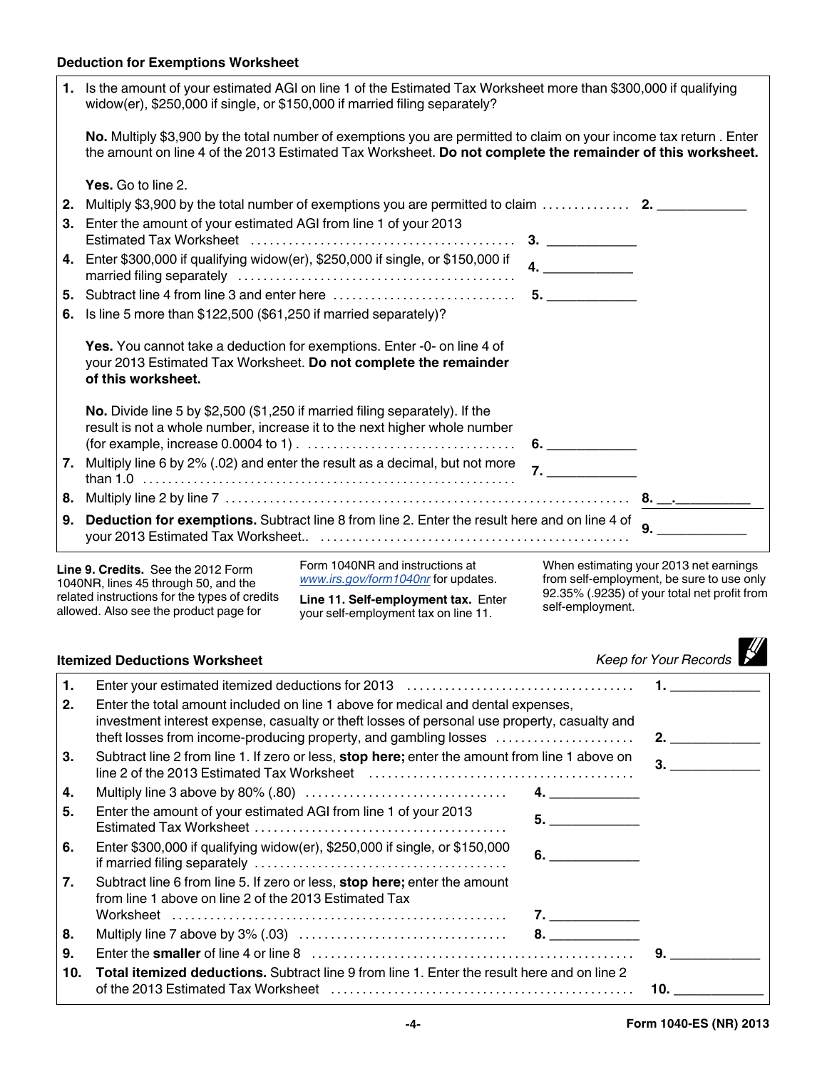#### **Deduction for Exemptions Worksheet**

|    | 1. Is the amount of your estimated AGI on line 1 of the Estimated Tax Worksheet more than \$300,000 if qualifying<br>widow(er), \$250,000 if single, or \$150,000 if married filing separately?                                  |    |  |  |  |  |  |  |  |
|----|----------------------------------------------------------------------------------------------------------------------------------------------------------------------------------------------------------------------------------|----|--|--|--|--|--|--|--|
|    | No. Multiply \$3,900 by the total number of exemptions you are permitted to claim on your income tax return. Enter<br>the amount on line 4 of the 2013 Estimated Tax Worksheet. Do not complete the remainder of this worksheet. |    |  |  |  |  |  |  |  |
|    | Yes. Go to line 2.                                                                                                                                                                                                               |    |  |  |  |  |  |  |  |
| 2. |                                                                                                                                                                                                                                  |    |  |  |  |  |  |  |  |
| 3. | Enter the amount of your estimated AGI from line 1 of your 2013                                                                                                                                                                  |    |  |  |  |  |  |  |  |
|    | 4. Enter \$300,000 if qualifying widow(er), \$250,000 if single, or \$150,000 if                                                                                                                                                 |    |  |  |  |  |  |  |  |
|    |                                                                                                                                                                                                                                  |    |  |  |  |  |  |  |  |
| 6. | Is line 5 more than \$122,500 (\$61,250 if married separately)?                                                                                                                                                                  |    |  |  |  |  |  |  |  |
|    | Yes. You cannot take a deduction for exemptions. Enter -0- on line 4 of<br>your 2013 Estimated Tax Worksheet. Do not complete the remainder<br>of this worksheet.                                                                |    |  |  |  |  |  |  |  |
|    | No. Divide line 5 by \$2,500 (\$1,250 if married filing separately). If the<br>result is not a whole number, increase it to the next higher whole number                                                                         |    |  |  |  |  |  |  |  |
|    | 7. Multiply line 6 by 2% (.02) and enter the result as a decimal, but not more<br>7.                                                                                                                                             |    |  |  |  |  |  |  |  |
|    |                                                                                                                                                                                                                                  |    |  |  |  |  |  |  |  |
| 8. |                                                                                                                                                                                                                                  |    |  |  |  |  |  |  |  |
| 9. | Deduction for exemptions. Subtract line 8 from line 2. Enter the result here and on line 4 of                                                                                                                                    | 9. |  |  |  |  |  |  |  |

**Line 9. Credits.** See the 2012 Form 1040NR, lines 45 through 50, and the related instructions for the types of credits allowed. Also see the product page for

Form 1040NR and instructions at *[www.irs.gov/form1040nr](http://www.irs.gov/form1040nr)* for updates.

**Line 11. Self-employment tax.** Enter your self-employment tax on line 11.

When estimating your 2013 net earnings from self-employment, be sure to use only 92.35% (.9235) of your total net profit from self-employment.

|     | <b>Itemized Deductions Worksheet</b>                                                                                                                                                                                                                 |    | <b>Keep for Your Records</b> |
|-----|------------------------------------------------------------------------------------------------------------------------------------------------------------------------------------------------------------------------------------------------------|----|------------------------------|
| 1.  |                                                                                                                                                                                                                                                      |    |                              |
| 2.  | Enter the total amount included on line 1 above for medical and dental expenses,<br>investment interest expense, casualty or theft losses of personal use property, casualty and<br>theft losses from income-producing property, and gambling losses |    | 2.                           |
| 3.  | Subtract line 2 from line 1. If zero or less, stop here; enter the amount from line 1 above on                                                                                                                                                       |    | 3.                           |
| 4.  |                                                                                                                                                                                                                                                      |    |                              |
| 5.  | Enter the amount of your estimated AGI from line 1 of your 2013                                                                                                                                                                                      | 5. |                              |
| 6.  | Enter \$300,000 if qualifying widow(er), \$250,000 if single, or \$150,000                                                                                                                                                                           | 6. |                              |
| 7.  | Subtract line 6 from line 5. If zero or less, stop here; enter the amount<br>from line 1 above on line 2 of the 2013 Estimated Tax<br>Worksheet                                                                                                      |    |                              |
| 8.  |                                                                                                                                                                                                                                                      |    |                              |
| 9.  |                                                                                                                                                                                                                                                      |    |                              |
| 10. | Total itemized deductions. Subtract line 9 from line 1. Enter the result here and on line 2                                                                                                                                                          |    | 10.                          |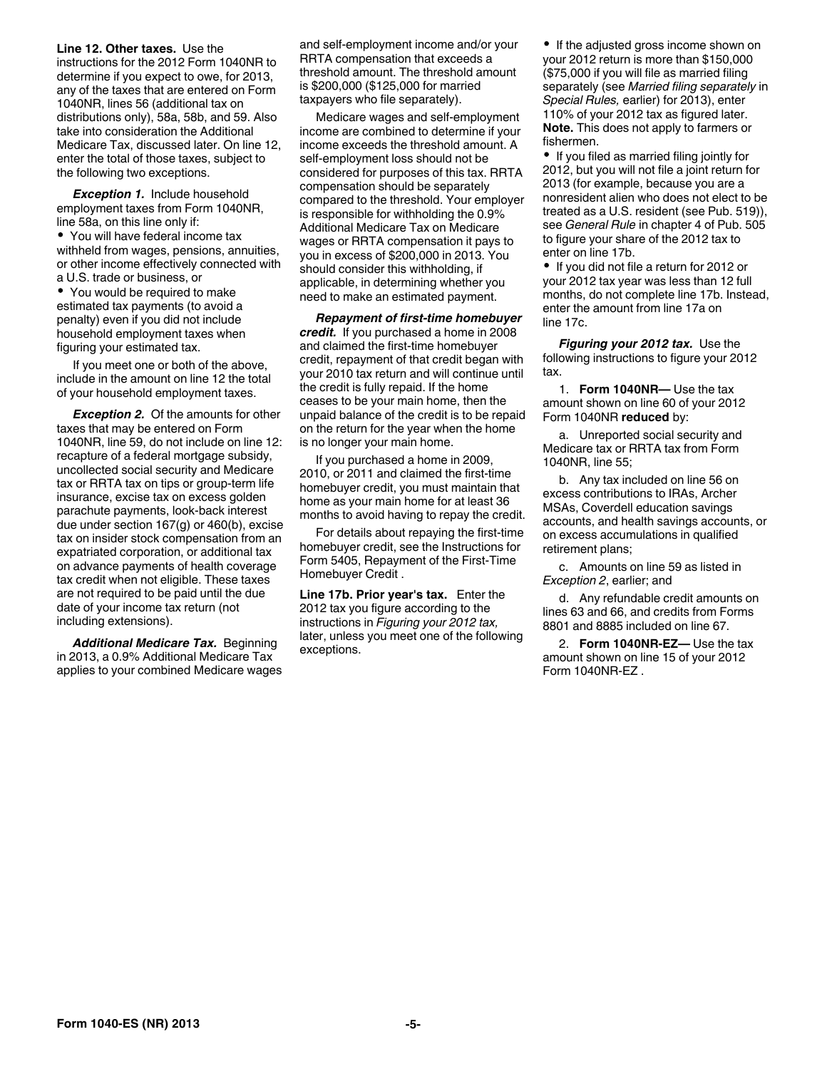**Line 12. Other taxes.** Use the instructions for the 2012 Form 1040NR to determine if you expect to owe, for 2013, any of the taxes that are entered on Form 1040NR, lines 56 (additional tax on distributions only), 58a, 58b, and 59. Also take into consideration the Additional Medicare Tax, discussed later. On line 12, enter the total of those taxes, subject to the following two exceptions.

*Exception 1.* Include household employment taxes from Form 1040NR, line 58a, on this line only if:

You will have federal income tax withheld from wages, pensions, annuities, or other income effectively connected with a U.S. trade or business, or

• You would be required to make estimated tax payments (to avoid a penalty) even if you did not include household employment taxes when figuring your estimated tax.

If you meet one or both of the above, include in the amount on line 12 the total of your household employment taxes.

*Exception 2.* Of the amounts for other taxes that may be entered on Form 1040NR, line 59, do not include on line 12: recapture of a federal mortgage subsidy, uncollected social security and Medicare tax or RRTA tax on tips or group-term life insurance, excise tax on excess golden parachute payments, look-back interest due under section 167(g) or 460(b), excise tax on insider stock compensation from an expatriated corporation, or additional tax on advance payments of health coverage tax credit when not eligible. These taxes are not required to be paid until the due date of your income tax return (not including extensions).

*Additional Medicare Tax.* Beginning in 2013, a 0.9% Additional Medicare Tax applies to your combined Medicare wages and self-employment income and/or your RRTA compensation that exceeds a threshold amount. The threshold amount is \$200,000 (\$125,000 for married taxpayers who file separately).

Medicare wages and self-employment income are combined to determine if your income exceeds the threshold amount. A self-employment loss should not be considered for purposes of this tax. RRTA compensation should be separately compared to the threshold. Your employer is responsible for withholding the 0.9% Additional Medicare Tax on Medicare wages or RRTA compensation it pays to you in excess of \$200,000 in 2013. You should consider this withholding, if applicable, in determining whether you need to make an estimated payment.

*Repayment of first-time homebuyer credit.* If you purchased a home in 2008 and claimed the first-time homebuyer credit, repayment of that credit began with your 2010 tax return and will continue until the credit is fully repaid. If the home ceases to be your main home, then the unpaid balance of the credit is to be repaid on the return for the year when the home is no longer your main home.

If you purchased a home in 2009, 2010, or 2011 and claimed the first-time homebuyer credit, you must maintain that home as your main home for at least 36 months to avoid having to repay the credit.

For details about repaying the first-time homebuyer credit, see the Instructions for Form 5405, Repayment of the First-Time Homebuyer Credit .

**Line 17b. Prior year's tax.** Enter the 2012 tax you figure according to the instructions in *Figuring your 2012 tax,*  later, unless you meet one of the following exceptions.

• If the adjusted gross income shown on your 2012 return is more than \$150,000 (\$75,000 if you will file as married filing separately (see *Married filing separately* in *Special Rules,* earlier) for 2013), enter 110% of your 2012 tax as figured later. **Note.** This does not apply to farmers or fishermen.

• If you filed as married filing jointly for 2012, but you will not file a joint return for 2013 (for example, because you are a nonresident alien who does not elect to be treated as a U.S. resident (see Pub. 519)), see *General Rule* in chapter 4 of Pub. 505 to figure your share of the 2012 tax to enter on line 17b.

If you did not file a return for 2012 or your 2012 tax year was less than 12 full months, do not complete line 17b. Instead, enter the amount from line 17a on line 17c.

*Figuring your 2012 tax.* Use the following instructions to figure your 2012 tax.

1. **Form 1040NR—** Use the tax amount shown on line 60 of your 2012 Form 1040NR **reduced** by:

a. Unreported social security and Medicare tax or RRTA tax from Form 1040NR, line 55;

b. Any tax included on line 56 on excess contributions to IRAs, Archer MSAs, Coverdell education savings accounts, and health savings accounts, or on excess accumulations in qualified retirement plans;

c. Amounts on line 59 as listed in *Exception 2*, earlier; and

d. Any refundable credit amounts on lines 63 and 66, and credits from Forms 8801 and 8885 included on line 67.

2. **Form 1040NR-EZ—** Use the tax amount shown on line 15 of your 2012 Form 1040NR-EZ .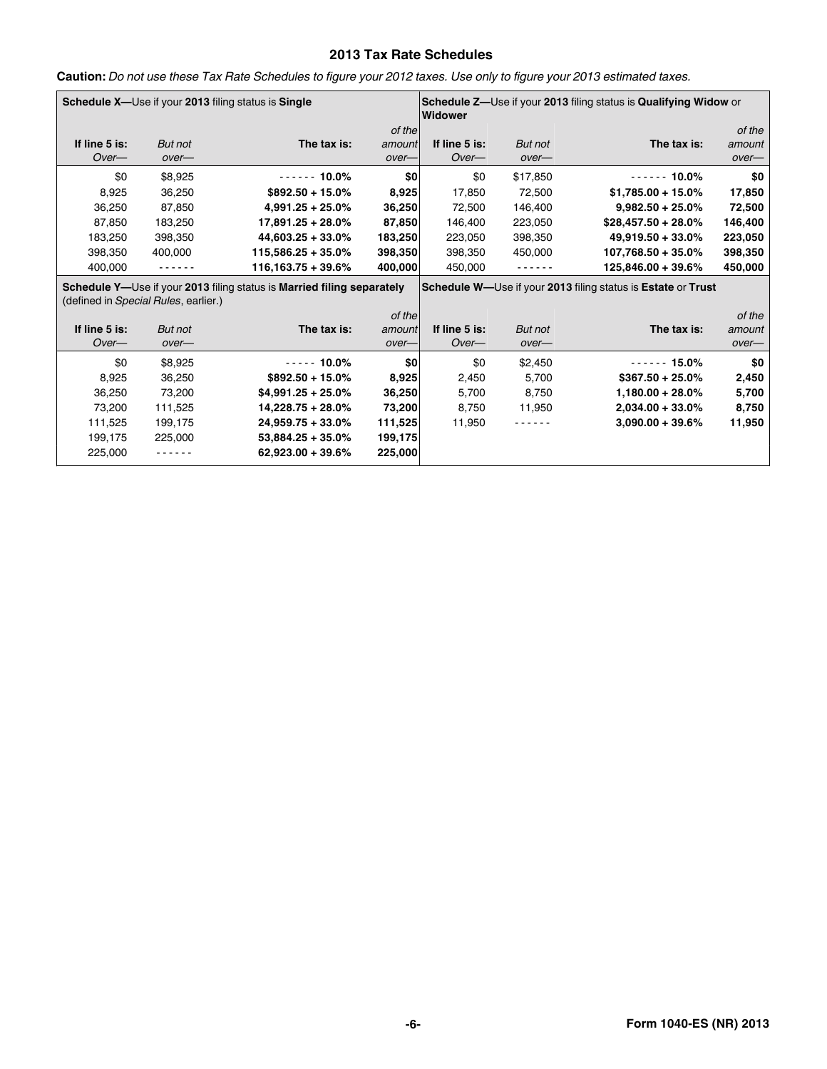#### **2013 Tax Rate Schedules**

**Caution:** *Do not use these Tax Rate Schedules to figure your 2012 taxes. Use only to figure your 2013 estimated taxes.*

|                                      |                         | Schedule X-Use if your 2013 filing status is Single                           | Widower                   |                            | Schedule Z-Use if your 2013 filing status is Qualifying Widow or                                                                                                                |                                                                     |                           |
|--------------------------------------|-------------------------|-------------------------------------------------------------------------------|---------------------------|----------------------------|---------------------------------------------------------------------------------------------------------------------------------------------------------------------------------|---------------------------------------------------------------------|---------------------------|
| If line 5 is:<br>$Over-$             | <b>But not</b><br>over- | The tax is:                                                                   | of the<br>amount<br>over- | If line $5$ is:<br>$Over-$ | But not<br>over-                                                                                                                                                                | The tax is:                                                         | of the<br>amount<br>over- |
| \$0                                  | \$8,925                 | $-10.0\%$                                                                     | \$0                       | \$0                        | \$17,850                                                                                                                                                                        | $--- 10.0%$                                                         | \$0                       |
| 8,925                                | 36,250                  | $$892.50 + 15.0\%$                                                            | 8,925                     | 17,850                     | 72,500                                                                                                                                                                          | $$1,785.00 + 15.0\%$                                                | 17,850                    |
| 36,250                               | 87,850                  | $4,991.25 + 25.0\%$                                                           | 36,250                    | 72,500                     | 146,400                                                                                                                                                                         | $9,982.50 + 25.0\%$                                                 | 72,500                    |
| 87.850                               | 183,250                 | 17,891.25 + 28.0%                                                             | 87,850                    | 146.400                    | 223.050                                                                                                                                                                         | $$28.457.50 + 28.0\%$                                               | 146,400                   |
| 183,250                              | 398,350                 | $44,603.25 + 33.0\%$                                                          | 183,250                   | 223,050                    | 398,350                                                                                                                                                                         | $49,919.50 + 33.0\%$                                                | 223,050                   |
| 398.350                              | 400.000                 | $115,586.25 + 35.0\%$                                                         | 398,350                   | 398,350                    | 450,000                                                                                                                                                                         | 107,768.50 + 35.0%                                                  | 398,350                   |
| 400,000                              | .                       | 116, 163. 75 + 39. 6%                                                         | 400,000                   | 450,000                    | $\frac{1}{2} \left( \frac{1}{2} \right) \left( \frac{1}{2} \right) \left( \frac{1}{2} \right) \left( \frac{1}{2} \right) \left( \frac{1}{2} \right) \left( \frac{1}{2} \right)$ | 125,846.00 + 39.6%                                                  | 450,000                   |
|                                      |                         | <b>Schedule Y—Use if your 2013 filing status is Married filing separately</b> |                           |                            |                                                                                                                                                                                 | <b>Schedule W—Use if your 2013 filing status is Estate or Trust</b> |                           |
| (defined in Special Rules, earlier.) |                         |                                                                               |                           |                            |                                                                                                                                                                                 |                                                                     |                           |
|                                      |                         |                                                                               | of the                    |                            |                                                                                                                                                                                 |                                                                     | of the                    |
| If line $5$ is:                      | <b>But not</b>          | The tax is:                                                                   | amount                    | If line $5$ is:            | But not                                                                                                                                                                         | The tax is:                                                         | amount                    |
| $Over-$                              | $over-$                 |                                                                               | over-                     | Over-                      | over-                                                                                                                                                                           |                                                                     | over-                     |
| \$0                                  | \$8,925                 | $--- 10.0%$                                                                   | \$0                       | \$0                        | \$2,450                                                                                                                                                                         | $-15.0%$                                                            | \$0                       |
| 8,925                                | 36,250                  | $$892.50 + 15.0\%$                                                            | 8,925                     | 2,450                      | 5.700                                                                                                                                                                           | $$367.50 + 25.0\%$                                                  | 2,450                     |
| 36,250                               | 73,200                  | $$4,991.25 + 25.0\%$                                                          | 36,250                    | 5,700                      | 8.750                                                                                                                                                                           | $1,180.00 + 28.0\%$                                                 | 5,700                     |
| 73,200                               | 111,525                 | $14,228.75 + 28.0\%$                                                          | 73,200                    | 8,750                      | 11,950                                                                                                                                                                          | $2,034.00 + 33.0\%$                                                 | 8,750                     |
| 111,525                              | 199,175                 | 24,959.75 + 33.0%                                                             | 111,525                   | 11,950                     |                                                                                                                                                                                 | $3,090.00 + 39.6\%$                                                 | 11,950                    |
| 199,175                              | 225,000                 | $53,884.25 + 35.0\%$                                                          | 199,175                   |                            |                                                                                                                                                                                 |                                                                     |                           |
| 225,000                              |                         | 62,923.00 + 39.6%                                                             | 225,000                   |                            |                                                                                                                                                                                 |                                                                     |                           |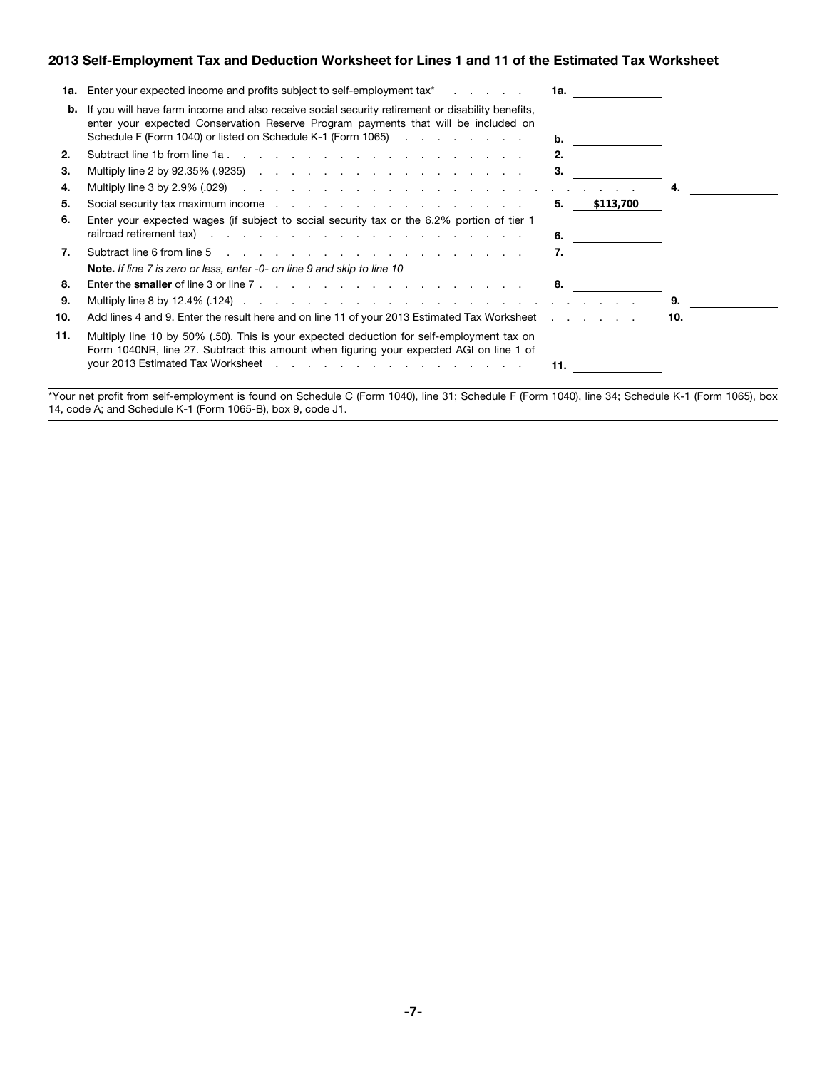#### 2013 Self-Employment Tax and Deduction Worksheet for Lines 1 and 11 of the Estimated Tax Worksheet

|     | <b>1a.</b> Enter your expected income and profits subject to self-employment tax <sup>*</sup> <b>1a.</b>                                                                                                                                                                                                                    |     |                           |    |  |
|-----|-----------------------------------------------------------------------------------------------------------------------------------------------------------------------------------------------------------------------------------------------------------------------------------------------------------------------------|-----|---------------------------|----|--|
|     | <b>b.</b> If you will have farm income and also receive social security retirement or disability benefits,<br>enter your expected Conservation Reserve Program payments that will be included on<br>Schedule F (Form 1040) or listed on Schedule K-1 (Form 1065)                                                            |     | b. $\qquad \qquad$        |    |  |
| 2.  |                                                                                                                                                                                                                                                                                                                             | 2.  |                           |    |  |
| З.  |                                                                                                                                                                                                                                                                                                                             |     | 3. $\qquad \qquad$        |    |  |
| 4.  | Multiply line 3 by 2.9% (.029) $\ldots$ $\ldots$ $\ldots$ $\ldots$ $\ldots$ $\ldots$ $\ldots$ $\ldots$ $\ldots$ $\ldots$ $\ldots$                                                                                                                                                                                           |     |                           | 4. |  |
| 5.  | Social security tax maximum income response to the contract of the security tax maximum income response to the                                                                                                                                                                                                              |     | 5. \$113,700              |    |  |
| 6.  | Enter your expected wages (if subject to social security tax or the 6.2% portion of tier 1<br>railroad retirement tax) (a) and the contract of the contract of the contract of the contract of the contract of the contract of the contract of the contract of the contract of the contract of the contract of the contract | 6.  |                           |    |  |
| 7.  | Subtract line 6 from line 5 and 1 and 1 and 1 and 1 and 1 and 1 and 1 and 1 and 1 and 1 and 1 and 1 and 1 and 1<br>Note. If line 7 is zero or less, enter -0- on line 9 and skip to line 10                                                                                                                                 |     | 7. $\qquad \qquad \qquad$ |    |  |
| 8.  |                                                                                                                                                                                                                                                                                                                             |     |                           |    |  |
| 9.  | Multiply line 8 by 12.4% (.124) $\ldots$ $\ldots$ $\ldots$ $\ldots$ $\ldots$ $\ldots$ $\ldots$ $\ldots$ $\ldots$ $\ldots$ $\ldots$                                                                                                                                                                                          |     |                           | 9. |  |
| 10. | Add lines 4 and 9. Enter the result here and on line 11 of your 2013 Estimated Tax Worksheet                                                                                                                                                                                                                                |     |                           |    |  |
| 11. | Multiply line 10 by 50% (.50). This is your expected deduction for self-employment tax on<br>Form 1040NR, line 27. Subtract this amount when figuring your expected AGI on line 1 of<br>your 2013 Estimated Tax Worksheet (e.g., e.g., e.g., e.g., e.g., e.g., e.g., e.g., e.g., e.g., e.g.,                                | 11. |                           |    |  |

\*Your net profit from self-employment is found on Schedule C (Form 1040), line 31; Schedule F (Form 1040), line 34; Schedule K-1 (Form 1065), box 14, code A; and Schedule K-1 (Form 1065-B), box 9, code J1.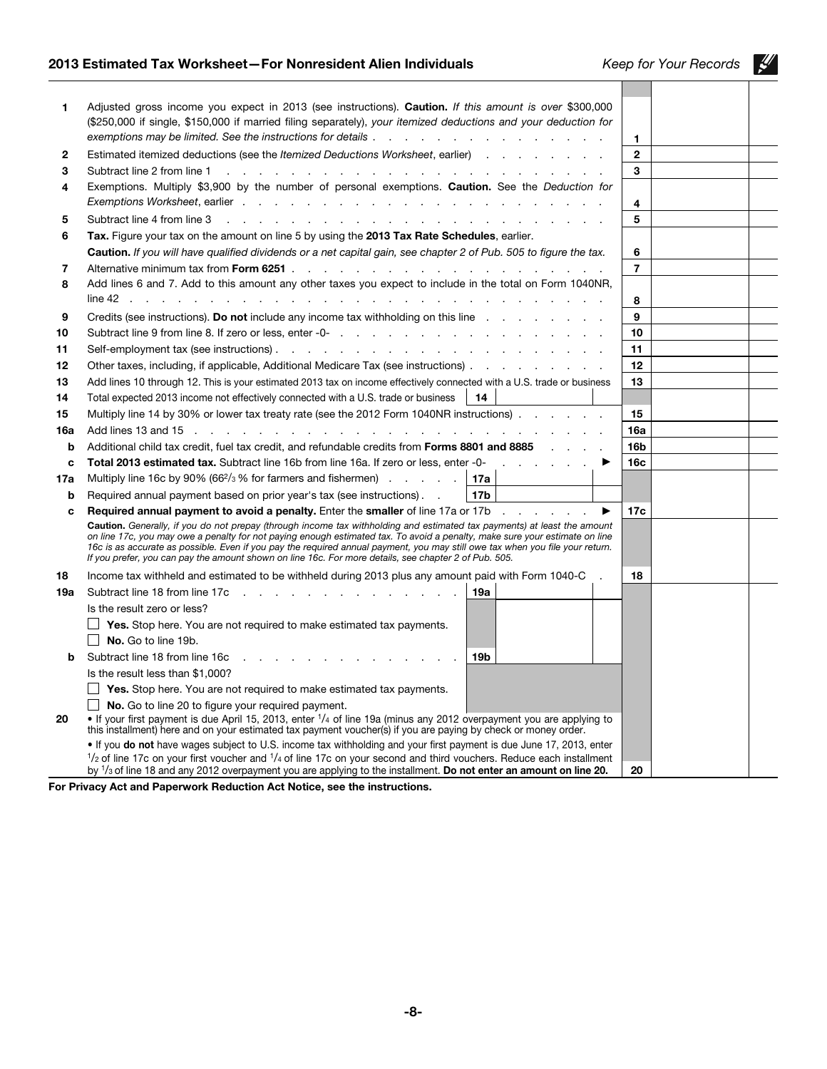## 2013 Estimated Tax Worksheet—For Nonresident Alien Individuals *Keep for Your Records*

 $\mathcal{L}$ 

| 1   | Adjusted gross income you expect in 2013 (see instructions). <b>Caution.</b> If this amount is over \$300,000<br>(\$250,000 if single, \$150,000 if married filing separately), your itemized deductions and your deduction for                                                                                                                                                                                                                                                                   | 1               |  |
|-----|---------------------------------------------------------------------------------------------------------------------------------------------------------------------------------------------------------------------------------------------------------------------------------------------------------------------------------------------------------------------------------------------------------------------------------------------------------------------------------------------------|-----------------|--|
| 2   | Estimated itemized deductions (see the <i>Itemized Deductions Worksheet</i> , earlier) entitled itemized by the control                                                                                                                                                                                                                                                                                                                                                                           | $\overline{2}$  |  |
| 3   | Subtract line 2 from line 1<br>and a series of the contract of the contract of the contract of the contract of                                                                                                                                                                                                                                                                                                                                                                                    | 3               |  |
| 4   | Exemptions. Multiply \$3,900 by the number of personal exemptions. Caution. See the Deduction for                                                                                                                                                                                                                                                                                                                                                                                                 |                 |  |
|     |                                                                                                                                                                                                                                                                                                                                                                                                                                                                                                   | 4               |  |
| 5   | Subtract line 4 from line 3<br>the contract of the contract of the contract of the contract of the contract of                                                                                                                                                                                                                                                                                                                                                                                    | 5               |  |
|     | Tax. Figure your tax on the amount on line 5 by using the 2013 Tax Rate Schedules, earlier.                                                                                                                                                                                                                                                                                                                                                                                                       |                 |  |
| 6   |                                                                                                                                                                                                                                                                                                                                                                                                                                                                                                   | 6               |  |
|     | Caution. If you will have qualified dividends or a net capital gain, see chapter 2 of Pub. 505 to figure the tax.                                                                                                                                                                                                                                                                                                                                                                                 | $\overline{7}$  |  |
| 7   | Add lines 6 and 7. Add to this amount any other taxes you expect to include in the total on Form 1040NR,                                                                                                                                                                                                                                                                                                                                                                                          |                 |  |
| 8   | $line 42$ $\ldots$ $\ldots$<br>the contract of the contract of the contract of the contract of the contract of the contract of the contract of                                                                                                                                                                                                                                                                                                                                                    |                 |  |
|     |                                                                                                                                                                                                                                                                                                                                                                                                                                                                                                   | 8               |  |
| 9   | Credits (see instructions). Do not include any income tax withholding on this line                                                                                                                                                                                                                                                                                                                                                                                                                | 9               |  |
| 10  |                                                                                                                                                                                                                                                                                                                                                                                                                                                                                                   | 10              |  |
| 11  |                                                                                                                                                                                                                                                                                                                                                                                                                                                                                                   | 11              |  |
| 12  | Other taxes, including, if applicable, Additional Medicare Tax (see instructions)                                                                                                                                                                                                                                                                                                                                                                                                                 | 12              |  |
| 13  | Add lines 10 through 12. This is your estimated 2013 tax on income effectively connected with a U.S. trade or business                                                                                                                                                                                                                                                                                                                                                                            | 13              |  |
| 14  | 14<br>Total expected 2013 income not effectively connected with a U.S. trade or business                                                                                                                                                                                                                                                                                                                                                                                                          |                 |  |
| 15  | Multiply line 14 by 30% or lower tax treaty rate (see the 2012 Form 1040NR instructions).                                                                                                                                                                                                                                                                                                                                                                                                         | 15              |  |
| 16a | Add lines 13 and 15<br>the contract of the contract of the contract of the contract of the contract of                                                                                                                                                                                                                                                                                                                                                                                            | <b>16a</b>      |  |
| b   | Additional child tax credit, fuel tax credit, and refundable credits from Forms 8801 and 8885                                                                                                                                                                                                                                                                                                                                                                                                     | 16 <sub>b</sub> |  |
| c   | Total 2013 estimated tax. Subtract line 16b from line 16a. If zero or less, enter -0-<br><b>Contract Contract</b>                                                                                                                                                                                                                                                                                                                                                                                 | 16с             |  |
| 17a | Multiply line 16c by 90% (66 $\frac{2}{3}$ % for farmers and fishermen) $\ldots$ .<br>17a                                                                                                                                                                                                                                                                                                                                                                                                         |                 |  |
| b   | 17 <sub>b</sub><br>Required annual payment based on prior year's tax (see instructions). .                                                                                                                                                                                                                                                                                                                                                                                                        |                 |  |
| C   | <b>Required annual payment to avoid a penalty.</b> Enter the <b>smaller</b> of line 17a or 17b<br>▶                                                                                                                                                                                                                                                                                                                                                                                               | 17c             |  |
|     | Caution. Generally, if you do not prepay (through income tax withholding and estimated tax payments) at least the amount<br>on line 17c, you may owe a penalty for not paying enough estimated tax. To avoid a penalty, make sure your estimate on line<br>16c is as accurate as possible. Even if you pay the required annual payment, you may still owe tax when you file your return.<br>If you prefer, you can pay the amount shown on line 16c. For more details, see chapter 2 of Pub. 505. |                 |  |
| 18  | Income tax withheld and estimated to be withheld during 2013 plus any amount paid with Form 1040-C                                                                                                                                                                                                                                                                                                                                                                                                | 18              |  |
| 19a | 19a<br>Subtract line 18 from line 17c                                                                                                                                                                                                                                                                                                                                                                                                                                                             |                 |  |
|     | Is the result zero or less?                                                                                                                                                                                                                                                                                                                                                                                                                                                                       |                 |  |
|     | Yes. Stop here. You are not required to make estimated tax payments.                                                                                                                                                                                                                                                                                                                                                                                                                              |                 |  |
|     | No. Go to line 19b.                                                                                                                                                                                                                                                                                                                                                                                                                                                                               |                 |  |
| b   | Subtract line 18 from line 16c<br>19 <sub>b</sub><br>and a state of                                                                                                                                                                                                                                                                                                                                                                                                                               |                 |  |
|     | Is the result less than \$1,000?                                                                                                                                                                                                                                                                                                                                                                                                                                                                  |                 |  |
|     | Yes. Stop here. You are not required to make estimated tax payments.                                                                                                                                                                                                                                                                                                                                                                                                                              |                 |  |
|     | No. Go to line 20 to figure your required payment.                                                                                                                                                                                                                                                                                                                                                                                                                                                |                 |  |
| 20  | . If your first payment is due April 15, 2013, enter 1/4 of line 19a (minus any 2012 overpayment you are applying to<br>this installment) here and on your estimated tax payment voucher(s) if you are paying by check or money order.                                                                                                                                                                                                                                                            |                 |  |
|     | . If you do not have wages subject to U.S. income tax withholding and your first payment is due June 17, 2013, enter                                                                                                                                                                                                                                                                                                                                                                              |                 |  |
|     | $1/2$ of line 17c on your first voucher and $1/4$ of line 17c on your second and third vouchers. Reduce each installment<br>by 1/3 of line 18 and any 2012 overpayment you are applying to the installment. Do not enter an amount on line 20.                                                                                                                                                                                                                                                    | 20              |  |
|     |                                                                                                                                                                                                                                                                                                                                                                                                                                                                                                   |                 |  |

For Privacy Act and Paperwork Reduction Act Notice, see the instructions.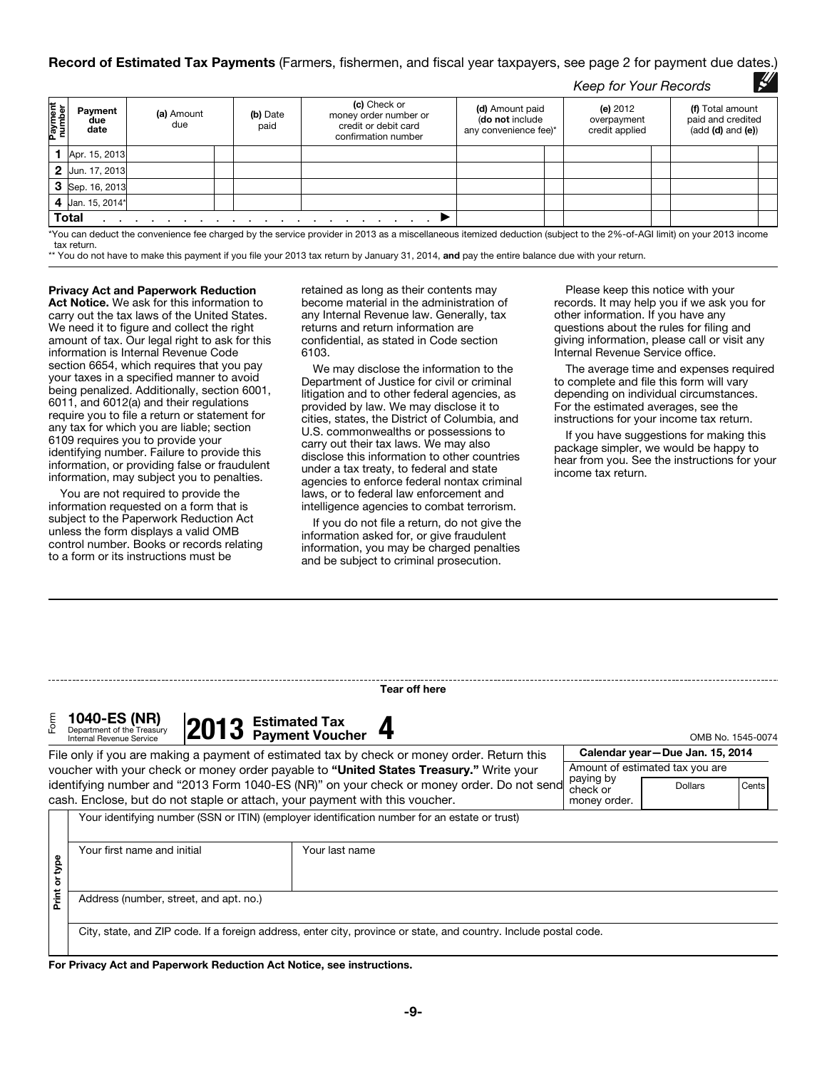Record of Estimated Tax Payments (Farmers, fishermen, and fiscal year taxpayers, see page 2 for payment due dates.)

|                   |                                                                 |                      |                                                                                      |                                                             |                                             | Keep for Your Records                                                                                   | - 67                        |
|-------------------|-----------------------------------------------------------------|----------------------|--------------------------------------------------------------------------------------|-------------------------------------------------------------|---------------------------------------------|---------------------------------------------------------------------------------------------------------|-----------------------------|
| Payment<br>number | Payment<br>(a) Amount<br>(b) Date<br>due<br>due<br>paid<br>date |                      | (c) Check or<br>money order number or<br>credit or debit card<br>confirmation number | (d) Amount paid<br>(do not include<br>any convenience fee)* | (e) $2012$<br>overpayment<br>credit applied | (f) Total amount<br>paid and credited<br>(add <b>(d)</b> and <b>(e)</b> )                               |                             |
|                   | Apr. 15, 2013                                                   |                      |                                                                                      |                                                             |                                             |                                                                                                         |                             |
|                   | 2 Jun. 17, 2013                                                 |                      |                                                                                      |                                                             |                                             |                                                                                                         |                             |
|                   | 3 Sep. 16, 2013                                                 |                      |                                                                                      |                                                             |                                             |                                                                                                         |                             |
|                   | 4 Jan. 15, 2014*                                                |                      |                                                                                      |                                                             |                                             |                                                                                                         |                             |
|                   | <b>Total</b>                                                    |                      |                                                                                      |                                                             |                                             |                                                                                                         |                             |
|                   | $\cdots$ $\cdots$                                               | $\sim$ $\sim$ $\sim$ | .                                                                                    | $\cdots$ $\cdots$<br>$\cdot$ $\cdot$                        |                                             | $\mathbf{u}$ , and $\mathbf{u}$ , and $\mathbf{u}$ , and $\mathbf{u}$ , and $\mathbf{u}$ , $\mathbf{u}$ | $\sim$ $\sim$ $\sim$ $\sim$ |

\*You can deduct the convenience fee charged by the service provider in 2013 as a miscellaneous itemized deduction (subject to the 2%-of-AGI limit) on your 2013 income tax return.

\*\* You do not have to make this payment if you file your 2013 tax return by January 31, 2014, and pay the entire balance due with your return.

#### Privacy Act and Paperwork Reduction

Act Notice. We ask for this information to carry out the tax laws of the United States. We need it to figure and collect the right amount of tax. Our legal right to ask for this information is Internal Revenue Code section 6654, which requires that you pay your taxes in a specified manner to avoid being penalized. Additionally, section 6001, 6011, and 6012(a) and their regulations require you to file a return or statement for any tax for which you are liable; section 6109 requires you to provide your identifying number. Failure to provide this information, or providing false or fraudulent information, may subject you to penalties.

You are not required to provide the information requested on a form that is subject to the Paperwork Reduction Act unless the form displays a valid OMB control number. Books or records relating to a form or its instructions must be

retained as long as their contents may become material in the administration of any Internal Revenue law. Generally, tax returns and return information are confidential, as stated in Code section 6103.

We may disclose the information to the Department of Justice for civil or criminal litigation and to other federal agencies, as provided by law. We may disclose it to cities, states, the District of Columbia, and U.S. commonwealths or possessions to carry out their tax laws. We may also disclose this information to other countries under a tax treaty, to federal and state agencies to enforce federal nontax criminal laws, or to federal law enforcement and intelligence agencies to combat terrorism.

If you do not file a return, do not give the information asked for, or give fraudulent information, you may be charged penalties and be subject to criminal prosecution.

Please keep this notice with your records. It may help you if we ask you for other information. If you have any questions about the rules for filing and giving information, please call or visit any Internal Revenue Service office.

 $\blacksquare$ 

The average time and expenses required to complete and file this form will vary depending on individual circumstances. For the estimated averages, see the instructions for your income tax return.

If you have suggestions for making this package simpler, we would be happy to hear from you. See the instructions for your income tax return.

Tear off here

Form 1040-ES (NR) Department of the Treasury<br>Internal Revenue Service

| Form                                                                                                                                                                     | 1040-ES (NR)<br>Department of the Treasury<br>Internal Revenue Service                                                         |  | <b>2013</b> Estimated Tax<br><b>2013</b> Payment Voucher |  |  | OMB No. 1545-0074 |       |  |  |
|--------------------------------------------------------------------------------------------------------------------------------------------------------------------------|--------------------------------------------------------------------------------------------------------------------------------|--|----------------------------------------------------------|--|--|-------------------|-------|--|--|
|                                                                                                                                                                          | Calendar year-Due Jan. 15, 2014<br>File only if you are making a payment of estimated tax by check or money order. Return this |  |                                                          |  |  |                   |       |  |  |
| Amount of estimated tax you are<br>voucher with your check or money order payable to "United States Treasury." Write your<br>paying by                                   |                                                                                                                                |  |                                                          |  |  |                   |       |  |  |
| identifying number and "2013 Form 1040-ES (NR)" on your check or money order. Do not send<br>cash. Enclose, but do not staple or attach, your payment with this voucher. |                                                                                                                                |  |                                                          |  |  | <b>Dollars</b>    | Cents |  |  |
|                                                                                                                                                                          | Your identifying number (SSN or ITIN) (employer identification number for an estate or trust)                                  |  |                                                          |  |  |                   |       |  |  |
| bee<br>٥                                                                                                                                                                 | Your first name and initial                                                                                                    |  | Your last name                                           |  |  |                   |       |  |  |
| Ë<br>൨                                                                                                                                                                   | Address (number, street, and apt. no.)                                                                                         |  |                                                          |  |  |                   |       |  |  |

City, state, and ZIP code. If a foreign address, enter city, province or state, and country. Include postal code.

For Privacy Act and Paperwork Reduction Act Notice, see instructions.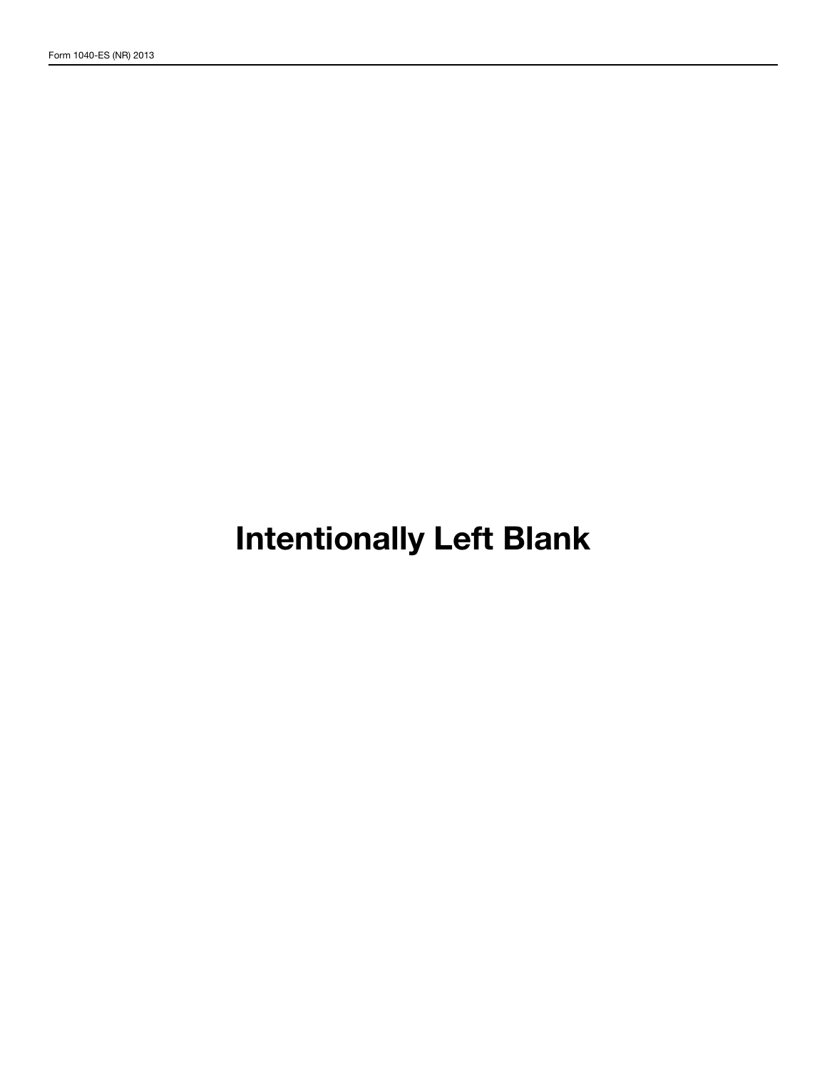## Intentionally Left Blank